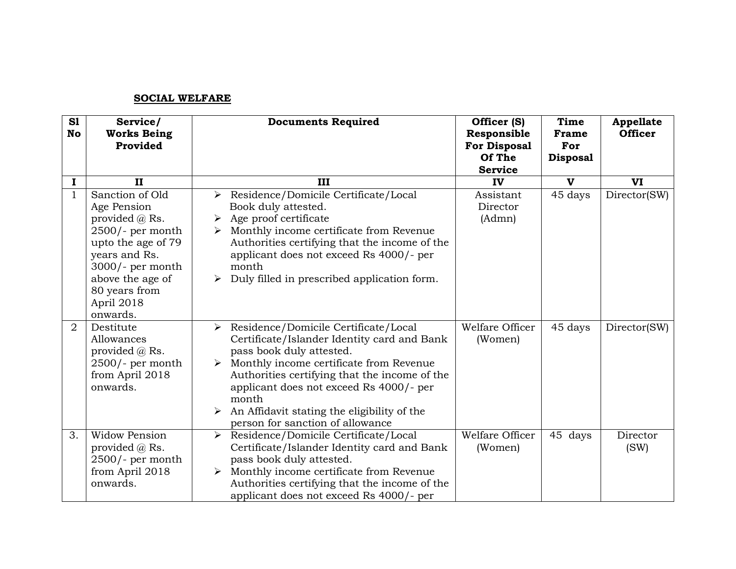## **SOCIAL WELFARE**

| S1<br><b>No</b> | Service/<br><b>Works Being</b><br>Provided                                                                                                                                                              | <b>Documents Required</b>                                                                                                                                                                                                                                                                                                                                         | Officer (S)<br>Responsible<br><b>For Disposal</b><br>Of The<br><b>Service</b> | <b>Time</b><br>Frame<br>For<br><b>Disposal</b> | <b>Appellate</b><br><b>Officer</b> |
|-----------------|---------------------------------------------------------------------------------------------------------------------------------------------------------------------------------------------------------|-------------------------------------------------------------------------------------------------------------------------------------------------------------------------------------------------------------------------------------------------------------------------------------------------------------------------------------------------------------------|-------------------------------------------------------------------------------|------------------------------------------------|------------------------------------|
| I               | $\mathbf{I}$                                                                                                                                                                                            | Ш                                                                                                                                                                                                                                                                                                                                                                 | IV                                                                            | V                                              | VI                                 |
| $\mathbf{1}$    | Sanction of Old<br>Age Pension<br>provided $(a)$ Rs.<br>$2500/-$ per month<br>upto the age of 79<br>years and Rs.<br>$3000$ /- per month<br>above the age of<br>80 years from<br>April 2018<br>onwards. | $\triangleright$ Residence/Domicile Certificate/Local<br>Book duly attested.<br>Age proof certificate<br>➤<br>Monthly income certificate from Revenue<br>➤<br>Authorities certifying that the income of the<br>applicant does not exceed Rs 4000/- per<br>month<br>Duly filled in prescribed application form.<br>➤                                               | Assistant<br>Director<br>(Admn)                                               | 45 days                                        | Director(SW)                       |
| $\overline{2}$  | Destitute<br>Allowances<br>provided $(a)$ Rs.<br>$2500/-$ per month<br>from April 2018<br>onwards.                                                                                                      | Residence/Domicile Certificate/Local<br>➤<br>Certificate/Islander Identity card and Bank<br>pass book duly attested.<br>Monthly income certificate from Revenue<br>➤<br>Authorities certifying that the income of the<br>applicant does not exceed Rs 4000/- per<br>month<br>An Affidavit stating the eligibility of the<br>➤<br>person for sanction of allowance | Welfare Officer<br>(Women)                                                    | 45 days                                        | Director(SW)                       |
| 3.              | <b>Widow Pension</b><br>provided $\omega$ Rs.<br>$2500/-$ per month<br>from April 2018<br>onwards.                                                                                                      | Residence/Domicile Certificate/Local<br>$\blacktriangleright$<br>Certificate/Islander Identity card and Bank<br>pass book duly attested.<br>Monthly income certificate from Revenue<br>➤<br>Authorities certifying that the income of the<br>applicant does not exceed Rs 4000/- per                                                                              | Welfare Officer<br>(Women)                                                    | 45 days                                        | Director<br>(SW)                   |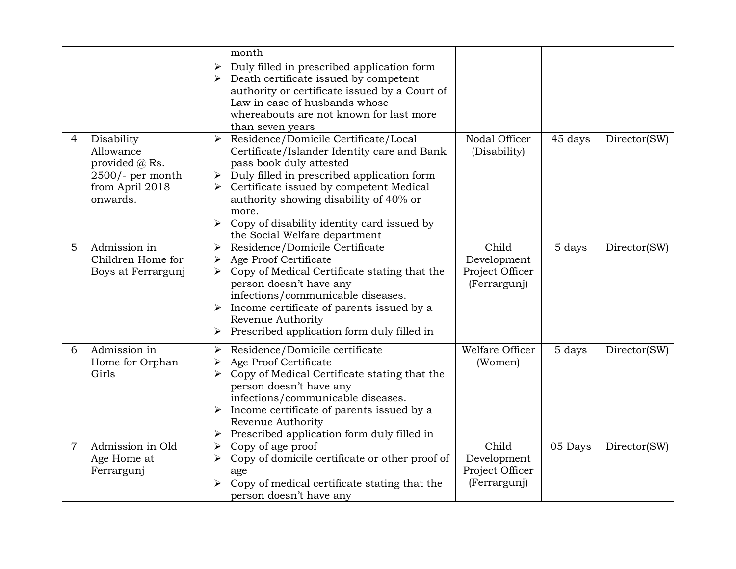|                |                                                                                                     | month<br>Duly filled in prescribed application form<br>➤<br>Death certificate issued by competent<br>➤<br>authority or certificate issued by a Court of<br>Law in case of husbands whose<br>whereabouts are not known for last more<br>than seven years                                                                                                                                                  |         |              |
|----------------|-----------------------------------------------------------------------------------------------------|----------------------------------------------------------------------------------------------------------------------------------------------------------------------------------------------------------------------------------------------------------------------------------------------------------------------------------------------------------------------------------------------------------|---------|--------------|
| 4              | Disability<br>Allowance<br>provided $(a)$ Rs.<br>$2500$ /- per month<br>from April 2018<br>onwards. | Residence/Domicile Certificate/Local<br>Nodal Officer<br>$\blacktriangleright$<br>(Disability)<br>Certificate/Islander Identity care and Bank<br>pass book duly attested<br>Duly filled in prescribed application form<br>➤<br>Certificate issued by competent Medical<br>authority showing disability of 40% or<br>more.<br>Copy of disability identity card issued by<br>the Social Welfare department | 45 days | Director(SW) |
| 5              | Admission in<br>Children Home for<br>Boys at Ferrargunj                                             | Child<br>Residence/Domicile Certificate<br>➤<br>Age Proof Certificate<br>Development<br>Copy of Medical Certificate stating that the<br>Project Officer<br>person doesn't have any<br>(Ferrargunj)<br>infections/communicable diseases.<br>Income certificate of parents issued by a<br>Revenue Authority<br>Prescribed application form duly filled in<br>$\blacktriangleright$                         | 5 days  | Director(SW) |
| 6              | Admission in<br>Home for Orphan<br>Girls                                                            | Welfare Officer<br>Residence/Domicile certificate<br>➤<br>Age Proof Certificate<br>(Women)<br>➤<br>Copy of Medical Certificate stating that the<br>person doesn't have any<br>infections/communicable diseases.<br>Income certificate of parents issued by a<br>$\blacktriangleright$<br>Revenue Authority<br>$\triangleright$ Prescribed application form duly filled in                                | 5 days  | Director(SW) |
| $\overline{7}$ | Admission in Old<br>Age Home at<br>Ferrargunj                                                       | Child<br>$\triangleright$ Copy of age proof<br>Copy of domicile certificate or other proof of<br>Development<br>➤<br>Project Officer<br>age<br>(Ferrargunj)<br>Copy of medical certificate stating that the<br>person doesn't have any                                                                                                                                                                   | 05 Days | Director(SW) |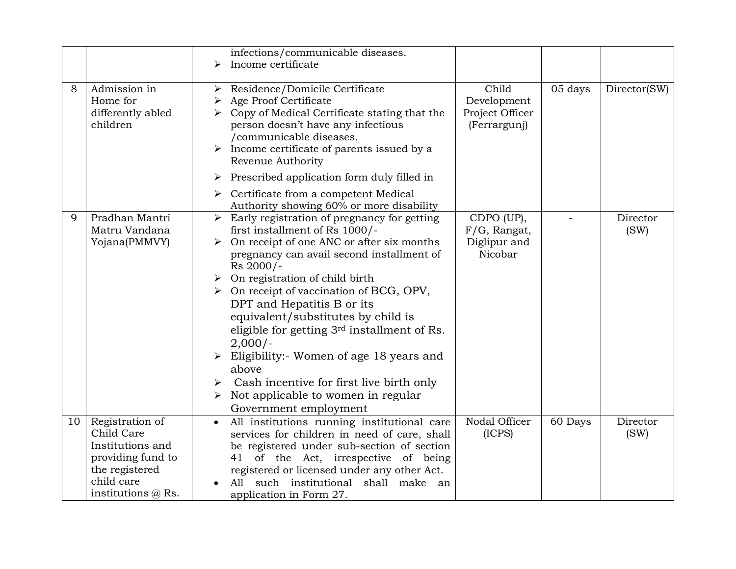|    |                                                                                                                                     | infections/communicable diseases.<br>Income certificate<br>➤                                                                                                                                                                                                                                                                                                                                                                                                                                                                                                                                    |                                                         |         |                  |
|----|-------------------------------------------------------------------------------------------------------------------------------------|-------------------------------------------------------------------------------------------------------------------------------------------------------------------------------------------------------------------------------------------------------------------------------------------------------------------------------------------------------------------------------------------------------------------------------------------------------------------------------------------------------------------------------------------------------------------------------------------------|---------------------------------------------------------|---------|------------------|
| 8  | Admission in<br>Home for<br>differently abled<br>children                                                                           | Residence/Domicile Certificate<br>➤<br>Age Proof Certificate<br>Copy of Medical Certificate stating that the<br>person doesn't have any infectious<br>/communicable diseases.<br>Income certificate of parents issued by a<br>Revenue Authority                                                                                                                                                                                                                                                                                                                                                 | Child<br>Development<br>Project Officer<br>(Ferrargunj) | 05 days | Director(SW)     |
|    |                                                                                                                                     | $\triangleright$ Prescribed application form duly filled in<br>Certificate from a competent Medical<br>≻<br>Authority showing 60% or more disability                                                                                                                                                                                                                                                                                                                                                                                                                                            |                                                         |         |                  |
| 9  | Pradhan Mantri<br>Matru Vandana<br>Yojana(PMMVY)                                                                                    | $\triangleright$ Early registration of pregnancy for getting<br>first installment of Rs 1000/-<br>On receipt of one ANC or after six months<br>≻<br>pregnancy can avail second installment of<br>Rs 2000/-<br>On registration of child birth<br>On receipt of vaccination of BCG, OPV,<br>➤<br>DPT and Hepatitis B or its<br>equivalent/substitutes by child is<br>eligible for getting 3rd installment of Rs.<br>$2,000/-$<br>Eligibility:- Women of age 18 years and<br>above<br>Cash incentive for first live birth only<br>Not applicable to women in regular<br>➤<br>Government employment | CDPO (UP),<br>F/G, Rangat,<br>Diglipur and<br>Nicobar   |         | Director<br>(SW) |
| 10 | Registration of<br>Child Care<br>Institutions and<br>providing fund to<br>the registered<br>child care<br>institutions $\omega$ Rs. | All institutions running institutional care<br>$\bullet$<br>services for children in need of care, shall<br>be registered under sub-section of section<br>41 of the Act, irrespective of being<br>registered or licensed under any other Act.<br>such institutional shall make an<br>A11<br>application in Form 27.                                                                                                                                                                                                                                                                             | Nodal Officer<br>(ICPS)                                 | 60 Days | Director<br>(SW) |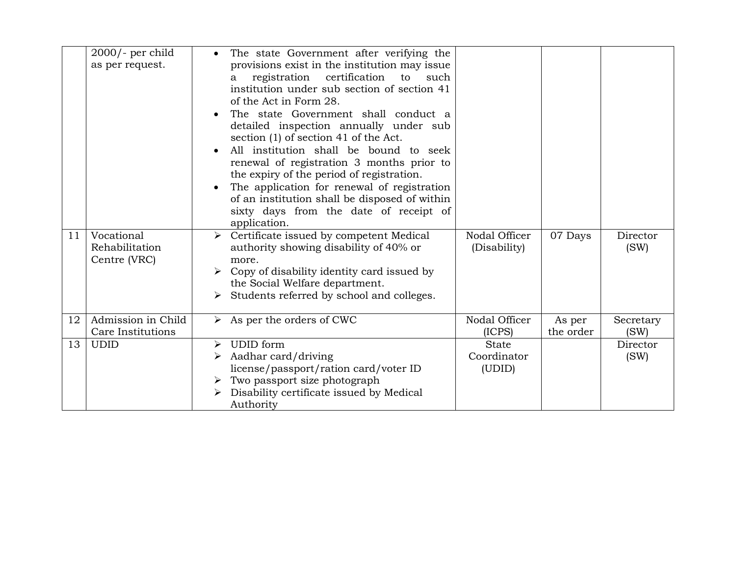|    | $2000$ /- per child<br>as per request. |                       | The state Government after verifying the<br>provisions exist in the institution may issue |                               |           |                  |
|----|----------------------------------------|-----------------------|-------------------------------------------------------------------------------------------|-------------------------------|-----------|------------------|
|    |                                        |                       | registration certification<br>to<br>such<br>a                                             |                               |           |                  |
|    |                                        |                       | institution under sub section of section 41                                               |                               |           |                  |
|    |                                        |                       | of the Act in Form 28.                                                                    |                               |           |                  |
|    |                                        |                       | The state Government shall conduct a                                                      |                               |           |                  |
|    |                                        |                       | detailed inspection annually under sub                                                    |                               |           |                  |
|    |                                        |                       | section (1) of section 41 of the Act.                                                     |                               |           |                  |
|    |                                        |                       | All institution shall be bound to seek                                                    |                               |           |                  |
|    |                                        |                       | renewal of registration 3 months prior to                                                 |                               |           |                  |
|    |                                        |                       | the expiry of the period of registration.                                                 |                               |           |                  |
|    |                                        |                       | The application for renewal of registration                                               |                               |           |                  |
|    |                                        |                       | of an institution shall be disposed of within                                             |                               |           |                  |
|    |                                        |                       | sixty days from the date of receipt of                                                    |                               |           |                  |
|    |                                        |                       | application.                                                                              |                               |           |                  |
| 11 | Vocational<br>Rehabilitation           | $\blacktriangleright$ | Certificate issued by competent Medical<br>authority showing disability of 40% or         | Nodal Officer<br>(Disability) | 07 Days   | Director<br>(SW) |
|    | Centre (VRC)                           |                       | more.                                                                                     |                               |           |                  |
|    |                                        |                       | Copy of disability identity card issued by                                                |                               |           |                  |
|    |                                        |                       | the Social Welfare department.                                                            |                               |           |                  |
|    |                                        | ➤                     | Students referred by school and colleges.                                                 |                               |           |                  |
|    |                                        |                       |                                                                                           |                               |           |                  |
| 12 | Admission in Child                     |                       | $\triangleright$ As per the orders of CWC                                                 | Nodal Officer                 | As per    | Secretary        |
|    | Care Institutions                      |                       |                                                                                           | (ICPS)                        | the order | (SW)             |
| 13 | <b>UDID</b>                            | ≻                     | <b>UDID</b> form                                                                          | <b>State</b>                  |           | Director         |
|    |                                        | ➤                     | Aadhar card/driving                                                                       | Coordinator                   |           | (SW)             |
|    |                                        |                       | license/passport/ration card/voter ID                                                     | (UDID)                        |           |                  |
|    |                                        |                       | $\triangleright$ Two passport size photograph                                             |                               |           |                  |
|    |                                        |                       | Disability certificate issued by Medical                                                  |                               |           |                  |
|    |                                        |                       | Authority                                                                                 |                               |           |                  |